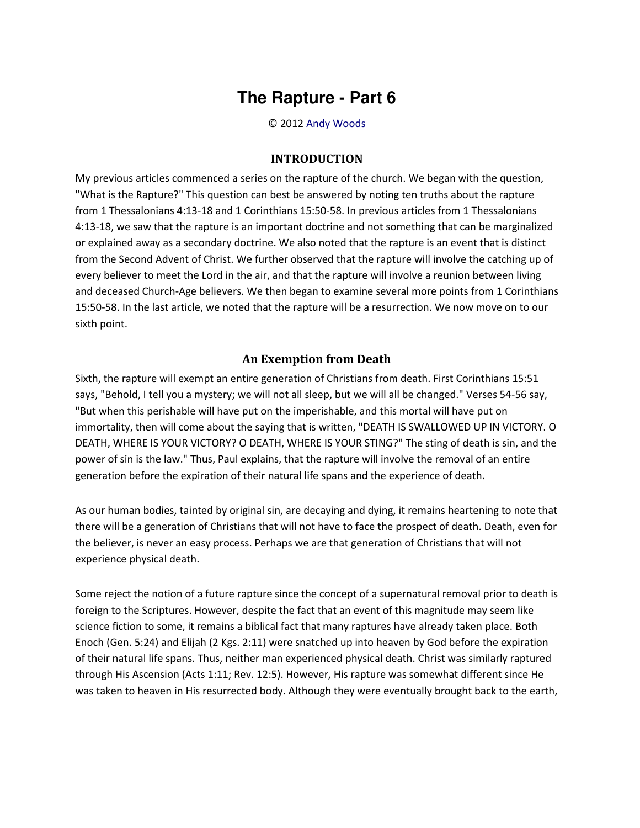## **The Rapture - Part 6**

© 2012 [Andy Woods](http://www.spiritandtruth.org/id/aw.htm)

## **INTRODUCTION**

My previous articles commenced a series on the rapture of the church. We began with the question, "What is the Rapture?" This question can best be answered by noting ten truths about the rapture from 1 Thessalonians 4:13-18 and 1 Corinthians 15:50-58. In previous articles from 1 Thessalonians 4:13-18, we saw that the rapture is an important doctrine and not something that can be marginalized or explained away as a secondary doctrine. We also noted that the rapture is an event that is distinct from the Second Advent of Christ. We further observed that the rapture will involve the catching up of every believer to meet the Lord in the air, and that the rapture will involve a reunion between living and deceased Church-Age believers. We then began to examine several more points from 1 Corinthians 15:50-58. In the last article, we noted that the rapture will be a resurrection. We now move on to our sixth point.

## **An Exemption from Death**

Sixth, the rapture will exempt an entire generation of Christians from death. First Corinthians 15:51 says, "Behold, I tell you a mystery; we will not all sleep, but we will all be changed." Verses 54-56 say, "But when this perishable will have put on the imperishable, and this mortal will have put on immortality, then will come about the saying that is written, "DEATH IS SWALLOWED UP IN VICTORY. O DEATH, WHERE IS YOUR VICTORY? O DEATH, WHERE IS YOUR STING?" The sting of death is sin, and the power of sin is the law." Thus, Paul explains, that the rapture will involve the removal of an entire generation before the expiration of their natural life spans and the experience of death.

As our human bodies, tainted by original sin, are decaying and dying, it remains heartening to note that there will be a generation of Christians that will not have to face the prospect of death. Death, even for the believer, is never an easy process. Perhaps we are that generation of Christians that will not experience physical death.

Some reject the notion of a future rapture since the concept of a supernatural removal prior to death is foreign to the Scriptures. However, despite the fact that an event of this magnitude may seem like science fiction to some, it remains a biblical fact that many raptures have already taken place. Both Enoch (Gen. 5:24) and Elijah (2 Kgs. 2:11) were snatched up into heaven by God before the expiration of their natural life spans. Thus, neither man experienced physical death. Christ was similarly raptured through His Ascension (Acts 1:11; Rev. 12:5). However, His rapture was somewhat different since He was taken to heaven in His resurrected body. Although they were eventually brought back to the earth,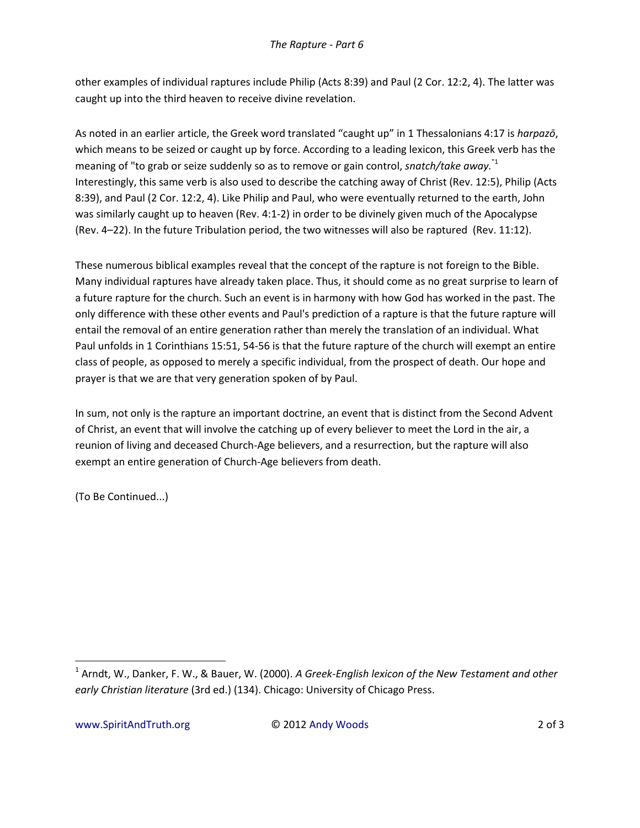other examples of individual raptures include Philip (Acts 8:39) and Paul (2 Cor. 12:2, 4). The latter was caught up into the third heaven to receive divine revelation.

As noted in an earlier article, the Greek word translated "caught up" in 1 Thessalonians 4:17 is *harpazo*, which means to be seized or caught up by force. According to a leading lexicon, this Greek verb has the meaning of "to grab or seize suddenly so as to remove or gain control, *snatch/take away.*"1 Interestingly, this same verb is also used to describe the catching away of Christ (Rev. 12:5), Philip (Acts 8:39), and Paul (2 Cor. 12:2, 4). Like Philip and Paul, who were eventually returned to the earth, John was similarly caught up to heaven (Rev. 4:1-2) in order to be divinely given much of the Apocalypse (Rev. 4–22). In the future Tribulation period, the two witnesses will also be raptured (Rev. 11:12).

These numerous biblical examples reveal that the concept of the rapture is not foreign to the Bible. Many individual raptures have already taken place. Thus, it should come as no great surprise to learn of a future rapture for the church. Such an event is in harmony with how God has worked in the past. The only difference with these other events and Paul's prediction of a rapture is that the future rapture will entail the removal of an entire generation rather than merely the translation of an individual. What Paul unfolds in 1 Corinthians 15:51, 54-56 is that the future rapture of the church will exempt an entire class of people, as opposed to merely a specific individual, from the prospect of death. Our hope and prayer is that we are that very generation spoken of by Paul.

In sum, not only is the rapture an important doctrine, an event that is distinct from the Second Advent of Christ, an event that will involve the catching up of every believer to meet the Lord in the air, a reunion of living and deceased Church-Age believers, and a resurrection, but the rapture will also exempt an entire generation of Church-Age believers from death.

(To Be Continued...)

 $\overline{a}$ 

<sup>1</sup> Arndt, W., Danker, F. W., & Bauer, W. (2000). *A Greek-English lexicon of the New Testament and other early Christian literature* (3rd ed.) (134). Chicago: University of Chicago Press.